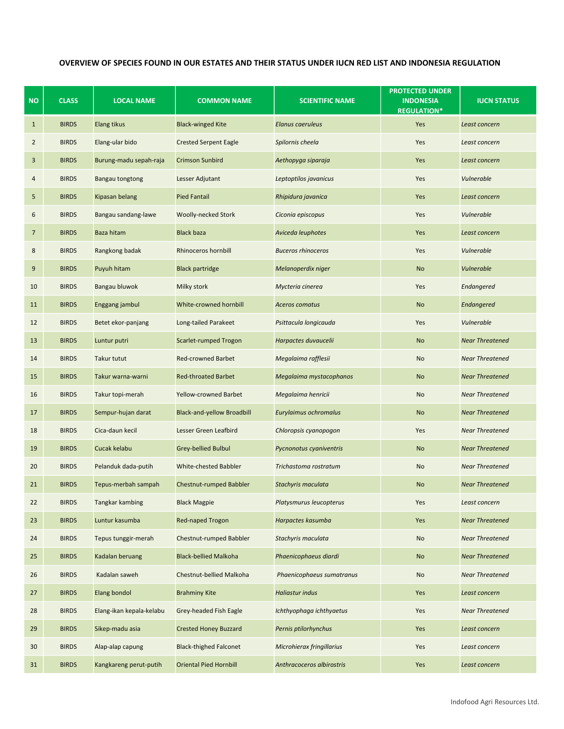## OVERVIEW OF SPECIES FOUND IN OUR ESTATES AND THEIR STATUS UNDER IUCN RED LIST AND INDONESIA REGULATION

| NO             | <b>CLASS</b> | <b>LOCAL NAME</b>        | <b>COMMON NAME</b>                | <b>SCIENTIFIC NAME</b>    | <b>PROTECTED UNDER</b><br><b>INDONESIA</b><br><b>REGULATION*</b> | <b>IUCN STATUS</b>     |
|----------------|--------------|--------------------------|-----------------------------------|---------------------------|------------------------------------------------------------------|------------------------|
| $\mathbf{1}$   | <b>BIRDS</b> | Elang tikus              | <b>Black-winged Kite</b>          | Elanus caeruleus          | Yes                                                              | Least concern          |
| $\overline{2}$ | <b>BIRDS</b> | Elang-ular bido          | <b>Crested Serpent Eagle</b>      | Spilornis cheela          | Yes                                                              | Least concern          |
| 3              | <b>BIRDS</b> | Burung-madu sepah-raja   | <b>Crimson Sunbird</b>            | Aethopyga siparaja        | Yes                                                              | Least concern          |
| 4              | <b>BIRDS</b> | <b>Bangau tongtong</b>   | Lesser Adjutant                   | Leptoptilos javanicus     | Yes                                                              | Vulnerable             |
| 5              | <b>BIRDS</b> | Kipasan belang           | <b>Pied Fantail</b>               | Rhipidura javanica        | Yes                                                              | Least concern          |
| 6              | <b>BIRDS</b> | Bangau sandang-lawe      | Woolly-necked Stork               | Ciconia episcopus         | Yes                                                              | Vulnerable             |
| $\overline{7}$ | <b>BIRDS</b> | Baza hitam               | <b>Black baza</b>                 | Aviceda leuphotes         | Yes                                                              | Least concern          |
| 8              | <b>BIRDS</b> | Rangkong badak           | Rhinoceros hornbill               | <b>Buceros rhinoceros</b> | Yes                                                              | Vulnerable             |
| 9              | <b>BIRDS</b> | Puyuh hitam              | <b>Black partridge</b>            | Melanoperdix niger        | <b>No</b>                                                        | Vulnerable             |
| 10             | <b>BIRDS</b> | Bangau bluwok            | Milky stork                       | Mycteria cinerea          | Yes                                                              | Endangered             |
| 11             | <b>BIRDS</b> | Enggang jambul           | White-crowned hornbill            | <b>Aceros comatus</b>     | <b>No</b>                                                        | Endangered             |
| 12             | <b>BIRDS</b> | Betet ekor-panjang       | Long-tailed Parakeet              | Psittacula longicauda     | Yes                                                              | Vulnerable             |
| 13             | <b>BIRDS</b> | Luntur putri             | Scarlet-rumped Trogon             | Harpactes duvaucelii      | <b>No</b>                                                        | <b>Near Threatened</b> |
| 14             | <b>BIRDS</b> | <b>Takur tutut</b>       | <b>Red-crowned Barbet</b>         | Megalaima rafflesii       | No                                                               | <b>Near Threatened</b> |
| 15             | <b>BIRDS</b> | Takur warna-warni        | <b>Red-throated Barbet</b>        | Megalaima mystacophanos   | <b>No</b>                                                        | <b>Near Threatened</b> |
| 16             | <b>BIRDS</b> | Takur topi-merah         | <b>Yellow-crowned Barbet</b>      | Megalaima henricii        | No                                                               | <b>Near Threatened</b> |
| 17             | <b>BIRDS</b> | Sempur-hujan darat       | <b>Black-and-yellow Broadbill</b> | Eurylaimus ochromalus     | <b>No</b>                                                        | <b>Near Threatened</b> |
| 18             | <b>BIRDS</b> | Cica-daun kecil          | Lesser Green Leafbird             | Chloropsis cyanopogon     | Yes                                                              | <b>Near Threatened</b> |
| 19             | <b>BIRDS</b> | Cucak kelabu             | Grey-bellied Bulbul               | Pycnonotus cyaniventris   | <b>No</b>                                                        | <b>Near Threatened</b> |
| 20             | <b>BIRDS</b> | Pelanduk dada-putih      | White-chested Babbler             | Trichastoma rostratum     | No                                                               | <b>Near Threatened</b> |
| 21             | <b>BIRDS</b> | Tepus-merbah sampah      | <b>Chestnut-rumped Babbler</b>    | Stachyris maculata        | <b>No</b>                                                        | <b>Near Threatened</b> |
| 22             | <b>BIRDS</b> | Tangkar kambing          | <b>Black Magpie</b>               | Platysmurus leucopterus   | Yes                                                              | Least concern          |
| 23             | <b>BIRDS</b> | Luntur kasumba           | <b>Red-naped Trogon</b>           | Harpactes kasumba         | Yes                                                              | <b>Near Threatened</b> |
| 24             | <b>BIRDS</b> | Tepus tunggir-merah      | Chestnut-rumped Babbler           | Stachyris maculata        | No                                                               | <b>Near Threatened</b> |
| 25             | <b>BIRDS</b> | Kadalan beruang          | <b>Black-bellied Malkoha</b>      | Phaenicophaeus diardi     | <b>No</b>                                                        | <b>Near Threatened</b> |
| 26             | <b>BIRDS</b> | Kadalan saweh            | Chestnut-bellied Malkoha          | Phaenicophaeus sumatranus | No                                                               | <b>Near Threatened</b> |
| 27             | <b>BIRDS</b> | <b>Elang bondol</b>      | <b>Brahminy Kite</b>              | <b>Haliastur indus</b>    | Yes                                                              | Least concern          |
| 28             | <b>BIRDS</b> | Elang-ikan kepala-kelabu | Grey-headed Fish Eagle            | Ichthyophaga ichthyaetus  | Yes                                                              | <b>Near Threatened</b> |
| 29             | <b>BIRDS</b> | Sikep-madu asia          | <b>Crested Honey Buzzard</b>      | Pernis ptilorhynchus      | Yes                                                              | Least concern          |
| 30             | <b>BIRDS</b> | Alap-alap capung         | <b>Black-thighed Falconet</b>     | Microhierax fringillarius | Yes                                                              | Least concern          |
| 31             | <b>BIRDS</b> | Kangkareng perut-putih   | <b>Oriental Pied Hornbill</b>     | Anthracoceros albirostris | Yes                                                              | Least concern          |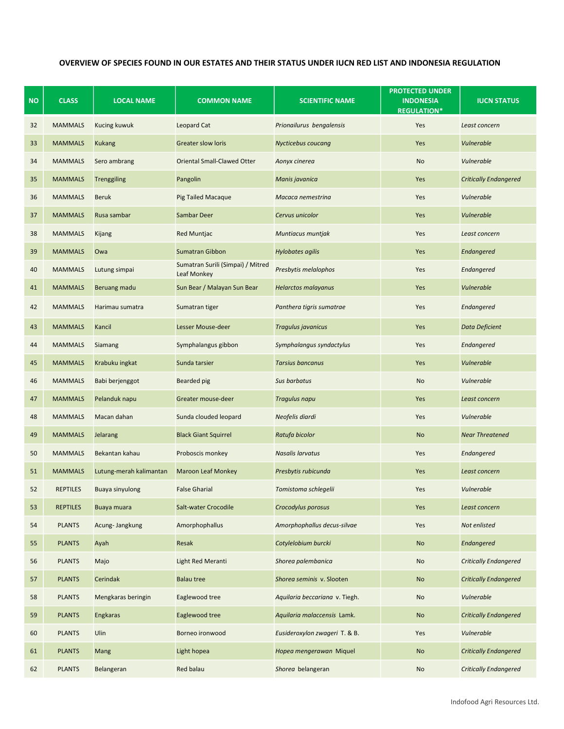## OVERVIEW OF SPECIES FOUND IN OUR ESTATES AND THEIR STATUS UNDER IUCN RED LIST AND INDONESIA REGULATION

| <b>NO</b> | <b>CLASS</b>    | <b>LOCAL NAME</b>       | <b>COMMON NAME</b>                               | <b>SCIENTIFIC NAME</b>         | <b>PROTECTED UNDER</b><br><b>INDONESIA</b><br><b>REGULATION*</b> | <b>IUCN STATUS</b>           |
|-----------|-----------------|-------------------------|--------------------------------------------------|--------------------------------|------------------------------------------------------------------|------------------------------|
| 32        | <b>MAMMALS</b>  | Kucing kuwuk            | Leopard Cat                                      | Prionailurus bengalensis       | Yes                                                              | Least concern                |
| 33        | <b>MAMMALS</b>  | <b>Kukang</b>           | <b>Greater slow loris</b>                        | Nycticebus coucang             | Yes                                                              | Vulnerable                   |
| 34        | <b>MAMMALS</b>  | Sero ambrang            | <b>Oriental Small-Clawed Otter</b>               | Aonyx cinerea                  | No                                                               | Vulnerable                   |
| 35        | <b>MAMMALS</b>  | Trenggiling             | Pangolin                                         | Manis javanica                 | Yes                                                              | <b>Critically Endangered</b> |
| 36        | <b>MAMMALS</b>  | <b>Beruk</b>            | <b>Pig Tailed Macaque</b>                        | Macaca nemestrina              | Yes                                                              | Vulnerable                   |
| 37        | <b>MAMMALS</b>  | Rusa sambar             | Sambar Deer                                      | Cervus unicolor                | Yes                                                              | <b>Vulnerable</b>            |
| 38        | <b>MAMMALS</b>  | Kijang                  | <b>Red Muntjac</b>                               | Muntiacus muntjak              | Yes                                                              | Least concern                |
| 39        | <b>MAMMALS</b>  | Owa                     | <b>Sumatran Gibbon</b>                           | <b>Hylobates agilis</b>        | Yes                                                              | <b>Endangered</b>            |
| 40        | <b>MAMMALS</b>  | Lutung simpai           | Sumatran Surili (Simpai) / Mitred<br>Leaf Monkey | Presbytis melalophos           | Yes                                                              | Endangered                   |
| 41        | <b>MAMMALS</b>  | Beruang madu            | Sun Bear / Malayan Sun Bear                      | <b>Helarctos malayanus</b>     | Yes                                                              | Vulnerable                   |
| 42        | <b>MAMMALS</b>  | Harimau sumatra         | Sumatran tiger                                   | Panthera tigris sumatrae       | Yes                                                              | Endangered                   |
| 43        | <b>MAMMALS</b>  | Kancil                  | Lesser Mouse-deer                                | Tragulus javanicus             | Yes                                                              | Data Deficient               |
| 44        | <b>MAMMALS</b>  | Siamang                 | Symphalangus gibbon                              | Symphalangus syndactylus       | Yes                                                              | Endangered                   |
| 45        | <b>MAMMALS</b>  | Krabuku ingkat          | Sunda tarsier                                    | <b>Tarsius bancanus</b>        | Yes                                                              | <b>Vulnerable</b>            |
| 46        | <b>MAMMALS</b>  | Babi berjenggot         | Bearded pig                                      | Sus barbatus                   | <b>No</b>                                                        | Vulnerable                   |
| 47        | <b>MAMMALS</b>  | Pelanduk napu           | Greater mouse-deer                               | <b>Tragulus napu</b>           | Yes                                                              | Least concern                |
| 48        | <b>MAMMALS</b>  | Macan dahan             | Sunda clouded leopard                            | Neofelis diardi                | Yes                                                              | Vulnerable                   |
| 49        | <b>MAMMALS</b>  | <b>Jelarang</b>         | <b>Black Giant Squirrel</b>                      | Ratufa bicolor                 | <b>No</b>                                                        | <b>Near Threatened</b>       |
| 50        | <b>MAMMALS</b>  | Bekantan kahau          | Proboscis monkey                                 | Nasalis larvatus               | Yes                                                              | Endangered                   |
| 51        | <b>MAMMALS</b>  | Lutung-merah kalimantan | <b>Maroon Leaf Monkey</b>                        | Presbytis rubicunda            | Yes                                                              | Least concern                |
| 52        | <b>REPTILES</b> | <b>Buaya sinyulong</b>  | <b>False Gharial</b>                             | Tomistoma schlegelii           | Yes                                                              | Vulnerable                   |
| 53        | <b>REPTILES</b> | Buaya muara             | <b>Salt-water Crocodile</b>                      | Crocodylus porosus             | Yes                                                              | Least concern                |
| 54        | <b>PLANTS</b>   | Acung-Jangkung          | Amorphophallus                                   | Amorphophallus decus-silvae    | Yes                                                              | Not enlisted                 |
| 55        | <b>PLANTS</b>   | Ayah                    | Resak                                            | Cotylelobium burcki            | <b>No</b>                                                        | Endangered                   |
| 56        | <b>PLANTS</b>   | Majo                    | <b>Light Red Meranti</b>                         | Shorea palembanica             | <b>No</b>                                                        | <b>Critically Endangered</b> |
| 57        | <b>PLANTS</b>   | Cerindak                | <b>Balau tree</b>                                | Shorea seminis v. Slooten      | No                                                               | <b>Critically Endangered</b> |
| 58        | <b>PLANTS</b>   | Mengkaras beringin      | Eaglewood tree                                   | Aquilaria beccariana v. Tiegh. | No                                                               | Vulnerable                   |
| 59        | <b>PLANTS</b>   | Engkaras                | Eaglewood tree                                   | Aquilaria malaccensis Lamk.    | <b>No</b>                                                        | <b>Critically Endangered</b> |
| 60        | <b>PLANTS</b>   | Ulin                    | Borneo ironwood                                  | Eusideroxylon zwageri T. & B.  | Yes                                                              | Vulnerable                   |
| 61        | <b>PLANTS</b>   | Mang                    | Light hopea                                      | Hopea mengerawan Miquel        | <b>No</b>                                                        | <b>Critically Endangered</b> |
| 62        | <b>PLANTS</b>   | Belangeran              | Red balau                                        | Shorea belangeran              | No                                                               | <b>Critically Endangered</b> |